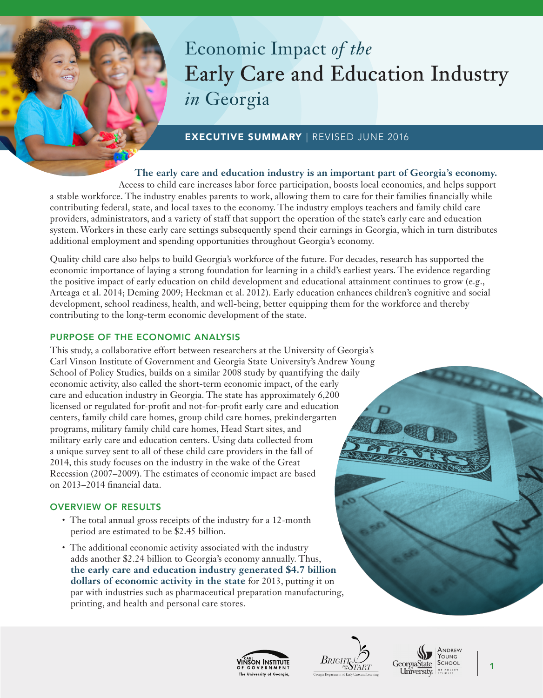# Economic Impact *of the* **Early Care and Education Industry** *in* Georgia

# EXECUTIVE SUMMARY | REVISED JUNE 2016

# **The early care and education industry is an important part of Georgia's economy.**

Access to child care increases labor force participation, boosts local economies, and helps support a stable workforce. The industry enables parents to work, allowing them to care for their families financially while contributing federal, state, and local taxes to the economy. The industry employs teachers and family child care providers, administrators, and a variety of staff that support the operation of the state's early care and education system. Workers in these early care settings subsequently spend their earnings in Georgia, which in turn distributes additional employment and spending opportunities throughout Georgia's economy.

Quality child care also helps to build Georgia's workforce of the future. For decades, research has supported the economic importance of laying a strong foundation for learning in a child's earliest years. The evidence regarding the positive impact of early education on child development and educational attainment continues to grow (e.g., Arteaga et al. 2014; Deming 2009; Heckman et al. 2012). Early education enhances children's cognitive and social development, school readiness, health, and well-being, better equipping them for the workforce and thereby contributing to the long-term economic development of the state.

## PURPOSE OF THE ECONOMIC ANALYSIS

This study, a collaborative effort between researchers at the University of Georgia's Carl Vinson Institute of Government and Georgia State University's Andrew Young School of Policy Studies, builds on a similar 2008 study by quantifying the daily economic activity, also called the short-term economic impact, of the early care and education industry in Georgia. The state has approximately 6,200 licensed or regulated for-profit and not-for-profit early care and education centers, family child care homes, group child care homes, prekindergarten programs, military family child care homes, Head Start sites, and military early care and education centers. Using data collected from a unique survey sent to all of these child care providers in the fall of 2014, this study focuses on the industry in the wake of the Great Recession (2007–2009). The estimates of economic impact are based on 2013–2014 financial data.

### OVERVIEW OF RESULTS

- The total annual gross receipts of the industry for a 12-month period are estimated to be \$2.45 billion.
- The additional economic activity associated with the industry adds another \$2.24 billion to Georgia's economy annually. Thus, **the early care and education industry generated \$4.7 billion dollars of economic activity in the state** for 2013, putting it on par with industries such as pharmaceutical preparation manufacturing, printing, and health and personal care stores.









1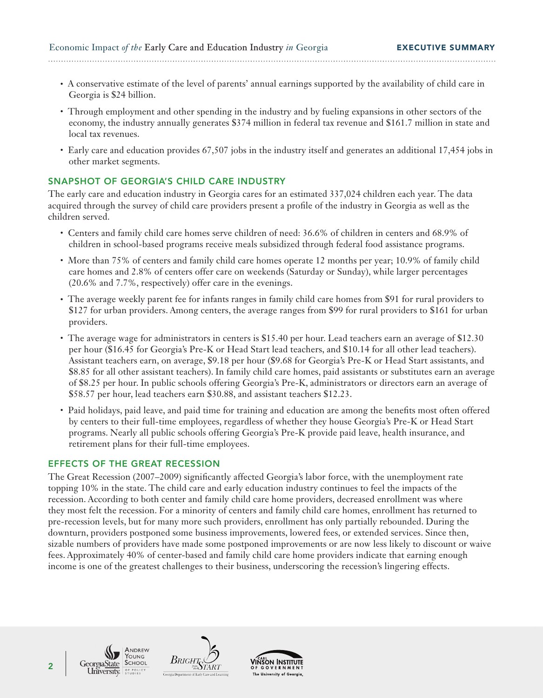Economic Impact of the Early Care and Education Industry *in* Georgia **EXECUTIVE SUMMARY** 

• A conservative estimate of the level of parents' annual earnings supported by the availability of child care in Georgia is \$24 billion.

- Through employment and other spending in the industry and by fueling expansions in other sectors of the economy, the industry annually generates \$374 million in federal tax revenue and \$161.7 million in state and local tax revenues.
- Early care and education provides 67,507 jobs in the industry itself and generates an additional 17,454 jobs in other market segments.

# SNAPSHOT OF GEORGIA'S CHILD CARE INDUSTRY

The early care and education industry in Georgia cares for an estimated 337,024 children each year. The data acquired through the survey of child care providers present a profile of the industry in Georgia as well as the children served.

- Centers and family child care homes serve children of need: 36.6% of children in centers and 68.9% of children in school-based programs receive meals subsidized through federal food assistance programs.
- More than 75% of centers and family child care homes operate 12 months per year; 10.9% of family child care homes and 2.8% of centers offer care on weekends (Saturday or Sunday), while larger percentages (20.6% and 7.7%, respectively) offer care in the evenings.
- The average weekly parent fee for infants ranges in family child care homes from \$91 for rural providers to \$127 for urban providers. Among centers, the average ranges from \$99 for rural providers to \$161 for urban providers.
- The average wage for administrators in centers is \$15.40 per hour. Lead teachers earn an average of \$12.30 per hour (\$16.45 for Georgia's Pre-K or Head Start lead teachers, and \$10.14 for all other lead teachers). Assistant teachers earn, on average, \$9.18 per hour (\$9.68 for Georgia's Pre-K or Head Start assistants, and \$8.85 for all other assistant teachers). In family child care homes, paid assistants or substitutes earn an average of \$8.25 per hour. In public schools offering Georgia's Pre-K, administrators or directors earn an average of \$58.57 per hour, lead teachers earn \$30.88, and assistant teachers \$12.23.
- Paid holidays, paid leave, and paid time for training and education are among the benefits most often offered by centers to their full-time employees, regardless of whether they house Georgia's Pre-K or Head Start programs. Nearly all public schools offering Georgia's Pre-K provide paid leave, health insurance, and retirement plans for their full-time employees.

### EFFECTS OF THE GREAT RECESSION

The Great Recession (2007–2009) significantly affected Georgia's labor force, with the unemployment rate topping 10% in the state. The child care and early education industry continues to feel the impacts of the recession. According to both center and family child care home providers, decreased enrollment was where they most felt the recession. For a minority of centers and family child care homes, enrollment has returned to pre-recession levels, but for many more such providers, enrollment has only partially rebounded. During the downturn, providers postponed some business improvements, lowered fees, or extended services. Since then, sizable numbers of providers have made some postponed improvements or are now less likely to discount or waive fees. Approximately 40% of center-based and family child care home providers indicate that earning enough income is one of the greatest challenges to their business, underscoring the recession's lingering effects.





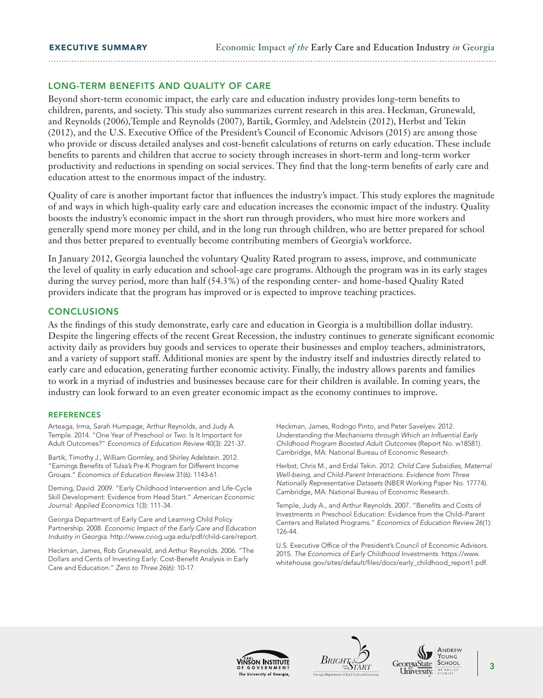#### LONG-TERM BENEFITS AND QUALITY OF CARE

Beyond short-term economic impact, the early care and education industry provides long-term benefits to children, parents, and society. This study also summarizes current research in this area. Heckman, Grunewald, and Reynolds (2006),Temple and Reynolds (2007), Bartik, Gormley, and Adelstein (2012), Herbst and Tekin (2012), and the U.S. Executive Office of the President's Council of Economic Advisors (2015) are among those who provide or discuss detailed analyses and cost-benefit calculations of returns on early education. These include benefits to parents and children that accrue to society through increases in short-term and long-term worker productivity and reductions in spending on social services. They find that the long-term benefits of early care and education attest to the enormous impact of the industry.

Quality of care is another important factor that influences the industry's impact. This study explores the magnitude of and ways in which high-quality early care and education increases the economic impact of the industry. Quality boosts the industry's economic impact in the short run through providers, who must hire more workers and generally spend more money per child, and in the long run through children, who are better prepared for school and thus better prepared to eventually become contributing members of Georgia's workforce.

In January 2012, Georgia launched the voluntary Quality Rated program to assess, improve, and communicate the level of quality in early education and school-age care programs. Although the program was in its early stages during the survey period, more than half (54.3%) of the responding center- and home-based Quality Rated providers indicate that the program has improved or is expected to improve teaching practices.

#### **CONCLUSIONS**

As the findings of this study demonstrate, early care and education in Georgia is a multibillion dollar industry. Despite the lingering effects of the recent Great Recession, the industry continues to generate significant economic activity daily as providers buy goods and services to operate their businesses and employ teachers, administrators, and a variety of support staff. Additional monies are spent by the industry itself and industries directly related to early care and education, generating further economic activity. Finally, the industry allows parents and families to work in a myriad of industries and businesses because care for their children is available. In coming years, the industry can look forward to an even greater economic impact as the economy continues to improve.

#### **REFERENCES**

Arteaga, Irma, Sarah Humpage, Arthur Reynolds, and Judy A. Temple. 2014. "One Year of Preschool or Two: Is It Important for Adult Outcomes?" *Economics of Education Review* 40(3): 221-37.

Bartik, Timothy J., William Gormley, and Shirley Adelstein. 2012. "Earnings Benefits of Tulsa's Pre-K Program for Different Income Groups." *Economics of Education Review* 31(6): 1143-61.

Deming, David. 2009. "Early Childhood Intervention and Life-Cycle Skill Development: Evidence from Head Start." *American Economic Journal: Applied Economics* 1(3): 111-34.

Georgia Department of Early Care and Learning Child Policy Partnership. 2008. *Economic Impact of the Early Care and Education Industry in Georgia*. http://www.cviog.uga.edu/pdf/child-care/report.

Heckman, James, Rob Grunewald, and Arthur Reynolds. 2006. "The Dollars and Cents of Investing Early: Cost-Benefit Analysis in Early Care and Education." *Zero to Three* 26(6): 10-17.

Heckman, James, Rodrigo Pinto, and Peter Savelyev. 2012. Understanding the Mechanisms through Which an Influential Early *Childhood Program Boosted Adult Outcomes* (Report No. w18581).

Herbst, Chris M., and Erdal Tekin. 2012. *Child Care Subsidies, Maternal Well-being, and Child-Parent Interactions: Evidence from Three Nationally Representative Datasets* (NBER Working Paper No. 17774). Cambridge, MA: National Bureau of Economic Research.

Temple, Judy A., and Arthur Reynolds. 2007. "Benefits and Costs of Investments in Preschool Education: Evidence from the Child–Parent Centers and Related Programs." *Economics of Education Review* 26(1): 126-44.

U.S. Executive Office of the President's Council of Economic Advisors. 2015. *The Economics of Early Childhood Investments*. https://www. whitehouse.gov/sites/default/files/docs/early\_childhood\_report1.pdf.







Cambridge, MA: National Bureau of Economic Research.